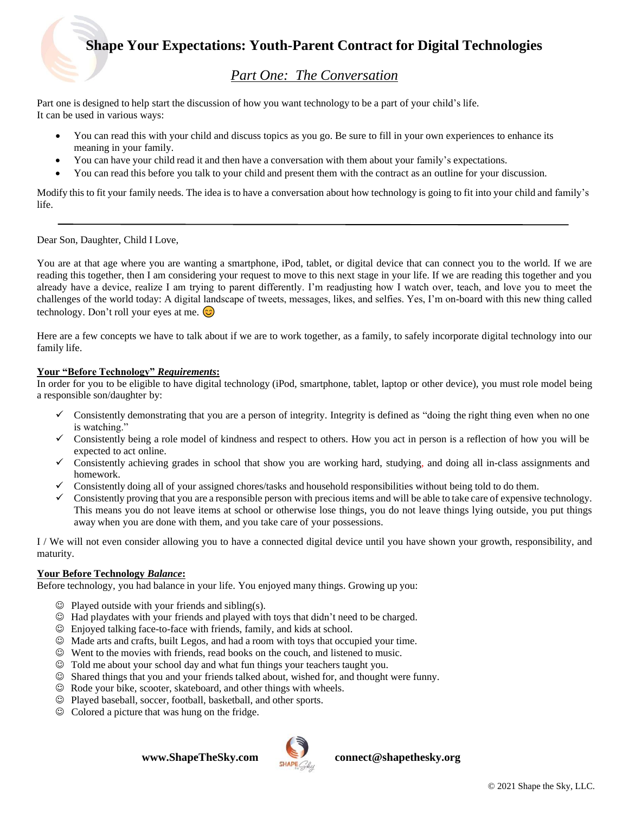## *Part One: The Conversation*

Part one is designed to help start the discussion of how you want technology to be a part of your child's life. It can be used in various ways:

- You can read this with your child and discuss topics as you go. Be sure to fill in your own experiences to enhance its meaning in your family.
- You can have your child read it and then have a conversation with them about your family's expectations.
- You can read this before you talk to your child and present them with the contract as an outline for your discussion.

Modify this to fit your family needs. The idea is to have a conversation about how technology is going to fit into your child and family's life.

#### Dear Son, Daughter, Child I Love,

You are at that age where you are wanting a smartphone, iPod, tablet, or digital device that can connect you to the world. If we are reading this together, then I am considering your request to move to this next stage in your life. If we are reading this together and you already have a device, realize I am trying to parent differently. I'm readjusting how I watch over, teach, and love you to meet the challenges of the world today: A digital landscape of tweets, messages, likes, and selfies. Yes, I'm on-board with this new thing called technology. Don't roll your eyes at me.  $\odot$ 

Here are a few concepts we have to talk about if we are to work together, as a family, to safely incorporate digital technology into our family life.

#### **Your "Before Technology"** *Requirements***:**

In order for you to be eligible to have digital technology (iPod, smartphone, tablet, laptop or other device), you must role model being a responsible son/daughter by:

- $\checkmark$  Consistently demonstrating that you are a person of integrity. Integrity is defined as "doing the right thing even when no one is watching."
- $\checkmark$  Consistently being a role model of kindness and respect to others. How you act in person is a reflection of how you will be expected to act online.
- ✓ Consistently achieving grades in school that show you are working hard, studying, and doing all in-class assignments and homework.
- ✓ Consistently doing all of your assigned chores/tasks and household responsibilities without being told to do them.
- $\checkmark$  Consistently proving that you are a responsible person with precious items and will be able to take care of expensive technology. This means you do not leave items at school or otherwise lose things, you do not leave things lying outside, you put things away when you are done with them, and you take care of your possessions.

I / We will not even consider allowing you to have a connected digital device until you have shown your growth, responsibility, and maturity.

## **Your Before Technology** *Balance***:**

Before technology, you had balance in your life. You enjoyed many things. Growing up you:

- $\odot$  Played outside with your friends and sibling(s).
- ☺ Had playdates with your friends and played with toys that didn't need to be charged.
- ☺ Enjoyed talking face-to-face with friends, family, and kids at school.
- ☺ Made arts and crafts, built Legos, and had a room with toys that occupied your time.
- ☺ Went to the movies with friends, read books on the couch, and listened to music.
- ☺ Told me about your school day and what fun things your teachers taught you.
- ☺ Shared things that you and your friends talked about, wished for, and thought were funny.
- ☺ Rode your bike, scooter, skateboard, and other things with wheels.
- ☺ Played baseball, soccer, football, basketball, and other sports.
- ☺ Colored a picture that was hung on the fridge.

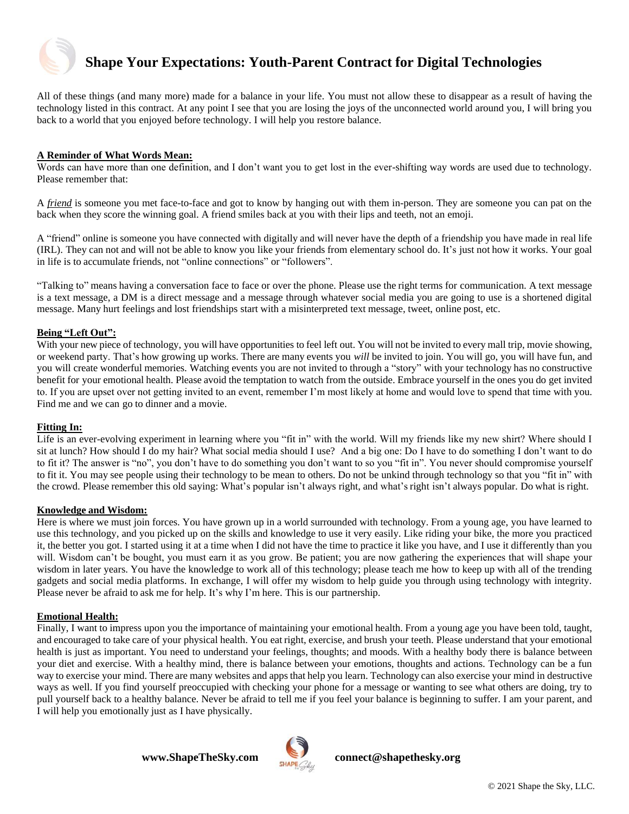

All of these things (and many more) made for a balance in your life. You must not allow these to disappear as a result of having the technology listed in this contract. At any point I see that you are losing the joys of the unconnected world around you, I will bring you back to a world that you enjoyed before technology. I will help you restore balance.

## **A Reminder of What Words Mean:**

Words can have more than one definition, and I don't want you to get lost in the ever-shifting way words are used due to technology. Please remember that:

A *friend* is someone you met face-to-face and got to know by hanging out with them in-person. They are someone you can pat on the back when they score the winning goal. A friend smiles back at you with their lips and teeth, not an emoji.

A "friend" online is someone you have connected with digitally and will never have the depth of a friendship you have made in real life (IRL). They can not and will not be able to know you like your friends from elementary school do. It's just not how it works. Your goal in life is to accumulate friends, not "online connections" or "followers".

"Talking to" means having a conversation face to face or over the phone. Please use the right terms for communication. A text message is a text message, a DM is a direct message and a message through whatever social media you are going to use is a shortened digital message. Many hurt feelings and lost friendships start with a misinterpreted text message, tweet, online post, etc.

#### **Being "Left Out":**

With your new piece of technology, you will have opportunities to feel left out. You will not be invited to every mall trip, movie showing, or weekend party. That's how growing up works. There are many events you *will* be invited to join. You will go, you will have fun, and you will create wonderful memories. Watching events you are not invited to through a "story" with your technology has no constructive benefit for your emotional health. Please avoid the temptation to watch from the outside. Embrace yourself in the ones you do get invited to. If you are upset over not getting invited to an event, remember I'm most likely at home and would love to spend that time with you. Find me and we can go to dinner and a movie.

#### **Fitting In:**

Life is an ever-evolving experiment in learning where you "fit in" with the world. Will my friends like my new shirt? Where should I sit at lunch? How should I do my hair? What social media should I use? And a big one: Do I have to do something I don't want to do to fit it? The answer is "no", you don't have to do something you don't want to so you "fit in". You never should compromise yourself to fit it. You may see people using their technology to be mean to others. Do not be unkind through technology so that you "fit in" with the crowd. Please remember this old saying: What's popular isn't always right, and what's right isn't always popular. Do what is right.

#### **Knowledge and Wisdom:**

Here is where we must join forces. You have grown up in a world surrounded with technology. From a young age, you have learned to use this technology, and you picked up on the skills and knowledge to use it very easily. Like riding your bike, the more you practiced it, the better you got. I started using it at a time when I did not have the time to practice it like you have, and I use it differently than you will. Wisdom can't be bought, you must earn it as you grow. Be patient; you are now gathering the experiences that will shape your wisdom in later years. You have the knowledge to work all of this technology; please teach me how to keep up with all of the trending gadgets and social media platforms. In exchange, I will offer my wisdom to help guide you through using technology with integrity. Please never be afraid to ask me for help. It's why I'm here. This is our partnership.

## **Emotional Health:**

Finally, I want to impress upon you the importance of maintaining your emotional health. From a young age you have been told, taught, and encouraged to take care of your physical health. You eat right, exercise, and brush your teeth. Please understand that your emotional health is just as important. You need to understand your feelings, thoughts; and moods. With a healthy body there is balance between your diet and exercise. With a healthy mind, there is balance between your emotions, thoughts and actions. Technology can be a fun way to exercise your mind. There are many websites and appsthat help you learn. Technology can also exercise your mind in destructive ways as well. If you find yourself preoccupied with checking your phone for a message or wanting to see what others are doing, try to pull yourself back to a healthy balance. Never be afraid to tell me if you feel your balance is beginning to suffer. I am your parent, and I will help you emotionally just as I have physically.

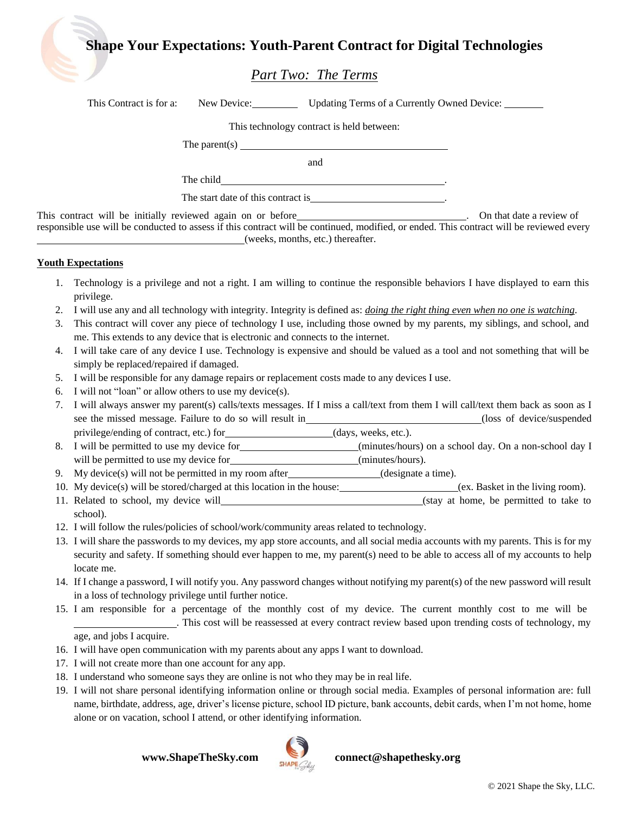## *Part Two: The Terms*

| This Contract is for a: | New Device: Updating Terms of a Currently Owned Device: ________                  |                          |
|-------------------------|-----------------------------------------------------------------------------------|--------------------------|
|                         | This technology contract is held between:                                         |                          |
|                         | The parent(s) $\qquad \qquad$ The parent (s)                                      |                          |
|                         | and                                                                               |                          |
|                         |                                                                                   |                          |
|                         | The start date of this contract is                                                |                          |
|                         | This contract will be initially reviewed again on or before______________________ | On that date a review of |

responsible use will be conducted to assess if this contract will be continued, modified, or ended. This contract will be reviewed every (weeks, months, etc.) thereafter.

## **Youth Expectations**

- 1. Technology is a privilege and not a right. I am willing to continue the responsible behaviors I have displayed to earn this privilege.
- 2. I will use any and all technology with integrity. Integrity is defined as: *doing the right thing even when no one is watching*.
- 3. This contract will cover any piece of technology I use, including those owned by my parents, my siblings, and school, and me. This extends to any device that is electronic and connects to the internet.
- 4. I will take care of any device I use. Technology is expensive and should be valued as a tool and not something that will be simply be replaced/repaired if damaged.
- 5. I will be responsible for any damage repairs or replacement costs made to any devices I use.
- 6. I will not "loan" or allow others to use my device(s).
- 7. I will always answer my parent(s) calls/texts messages. If I miss a call/text from them I will call/text them back as soon as I see the missed message. Failure to do so will result in (loss of device/suspended) (loss of device/suspended privilege/ending of contract, etc.) for (days, weeks, etc.).
- 8. I will be permitted to use my device for (minutes/hours) on a school day. On a non-school day I will be permitted to use my device for *(minutes/hours)*.
- 9. My device(s) will not be permitted in my room after  $($ designate a time).
- 10. My device(s) will be stored/charged at this location in the house: (ex. Basket in the living room).
- 11. Related to school, my device will example to the stay at home, be permitted to take to school).
- 12. I will follow the rules/policies of school/work/community areas related to technology.
- 13. I will share the passwords to my devices, my app store accounts, and all social media accounts with my parents. This is for my security and safety. If something should ever happen to me, my parent(s) need to be able to access all of my accounts to help locate me.
- 14. If I change a password, I will notify you. Any password changes without notifying my parent(s) of the new password will result in a loss of technology privilege until further notice.
- 15. I am responsible for a percentage of the monthly cost of my device. The current monthly cost to me will be . This cost will be reassessed at every contract review based upon trending costs of technology, my age, and jobs I acquire.
- 16. I will have open communication with my parents about any apps I want to download.
- 17. I will not create more than one account for any app.
- 18. I understand who someone says they are online is not who they may be in real life.
- 19. I will not share personal identifying information online or through social media. Examples of personal information are: full name, birthdate, address, age, driver's license picture, school ID picture, bank accounts, debit cards, when I'm not home, home alone or on vacation, school I attend, or other identifying information.